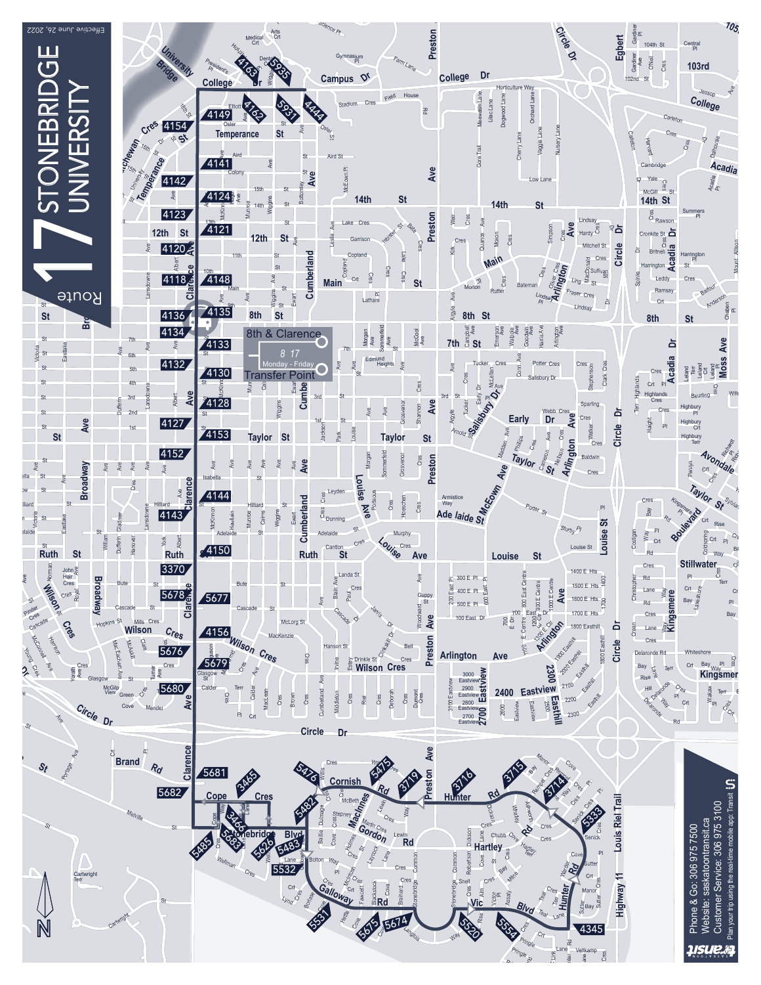